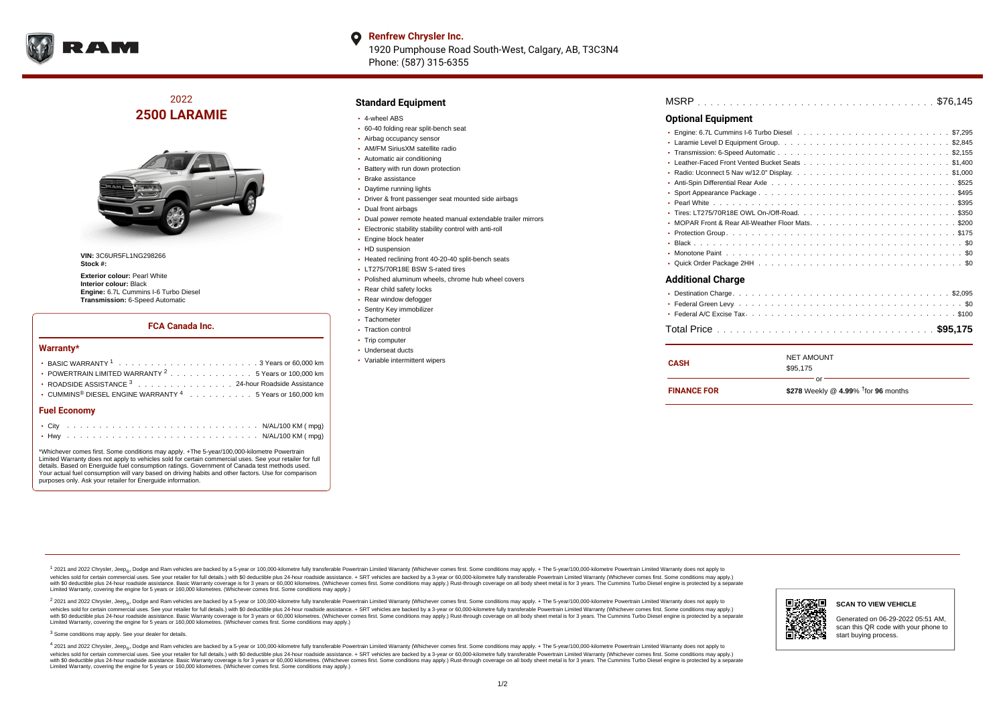

### **Renfrew Chrysler Inc.** O 1920 Pumphouse Road South-West, Calgary, AB, T3C3N4 Phone: (587) 315-6355

# 2022 **2500 LARAMIE**



**VIN:** 3C6UR5FL1NG298266 **Stock #:**

**Exterior colour:** Pearl White **Interior colour:** Black **Engine:** 6.7L Cummins I-6 Turbo Diesel **Transmission:** 6-Speed Automatic

## **FCA Canada Inc.**

#### **Warranty\***

| <b>Fuel Economy</b>                                                                    |  |  |
|----------------------------------------------------------------------------------------|--|--|
| $\cdot$ CUMMINS <sup>®</sup> DIESEL ENGINE WARRANTY <sup>4</sup> 5 Years or 160,000 km |  |  |
| ROADSIDE ASSISTANCE 3 24-hour Roadside Assistance                                      |  |  |
| • POWERTRAIN LIMITED WARRANTY <sup>2</sup> 5 Years or 100,000 km                       |  |  |
|                                                                                        |  |  |

\*Whichever comes first. Some conditions may apply. +The 5-year/100,000-kilometre Powertrain Limited Warranty does not apply to vehicles sold for certain commercial uses. See your retailer for full details. Based on Energuide fuel consumption ratings. Government of Canada test methods used. Your actual fuel consumption will vary based on driving habits and other factors. Use for comparison purposes only. Ask your retailer for Energuide information.

### **Standard Equipment**

- 4-wheel ABS
- 60-40 folding rear split-bench seat
- Airbag occupancy sensor
- AM/FM SiriusXM satellite radio
- Automatic air conditioning
- **Battery with run down protection**
- Brake assistance
- Daytime running lights
- Driver & front passenger seat mounted side airbags
- Dual front airbags
- Dual power remote heated manual extendable trailer mirrors
- Electronic stability stability control with anti-roll
- Engine block heater
- HD suspension
- Heated reclining front 40-20-40 split-bench seats
- LT275/70R18E BSW S-rated tires
- Polished aluminum wheels, chrome hub wheel covers
- Rear child safety locks
- Rear window defogger
- Sentry Key immobilizer
- Tachometer
- Traction control
- Trip computer
- Underseat ducts
- Variable intermittent wipers

| <b>Optional Equipment</b>                                                                                                                                                                                                           |
|-------------------------------------------------------------------------------------------------------------------------------------------------------------------------------------------------------------------------------------|
|                                                                                                                                                                                                                                     |
|                                                                                                                                                                                                                                     |
|                                                                                                                                                                                                                                     |
|                                                                                                                                                                                                                                     |
|                                                                                                                                                                                                                                     |
| * Anti-Spin Differential Rear Axle <i>both</i> and contained the contained to contain the contained to the contained to the contained to the contained to the contained to the contained to the contained to the contained to the c |
|                                                                                                                                                                                                                                     |
|                                                                                                                                                                                                                                     |
|                                                                                                                                                                                                                                     |
|                                                                                                                                                                                                                                     |
|                                                                                                                                                                                                                                     |
|                                                                                                                                                                                                                                     |
|                                                                                                                                                                                                                                     |
|                                                                                                                                                                                                                                     |
| <b>Additional Charge</b>                                                                                                                                                                                                            |
|                                                                                                                                                                                                                                     |
|                                                                                                                                                                                                                                     |
|                                                                                                                                                                                                                                     |

|--|

| <b>CASH</b>        | <b>NET AMOUNT</b><br>\$95,175                |
|--------------------|----------------------------------------------|
| <b>FINANCE FOR</b> | Ωr<br>\$278 Weekly @ 4.99% $†$ for 96 months |

<sup>1</sup> 2021 and 2022 Chrysler, Jeep<sub>®</sub>, Dodge and Ram vehicles are backed by a 5-year or 100,000-kilometre fully transferable Powertrain Limited Warranty (Whichever comes first. Some conditions may apply. + The 5-year/100,000 vehides sold for certain commercial uses. See your retailer for full details.) with \$0 deductible plus 24-hour roadside assistance. + SRT vehicles are backed by a 3-years or 50,000 kilometres. (Whichever comes first. Some Limited Warranty, covering the engine for 5 years or 160,000 kilometres. (Whichever comes first. Some conditions may apply.)

2 2021 and 2022 Chrysler, Jeep<sub>®</sub>, Dodge and Ram vehicles are backed by a 5-year or 100,000-kilometre fully transferable Powertrain Limited Warranty (Whichever comes first. Some conditions may apply. + The 5-year/100,000-k vehicles sold for certain commercial uses. See your retailer for full details.) with SO deductible plus 24-hour roadside assistance. + SRT vehicles are backed by a 3-year or 60.000-kilometre fully transferable Powertrain. vando concerned a mandato control and the mandato concerned a mandato concerned a mandato concerned a mandato concerned a mandato concerned a mandato concerned as concerned as a subsequent of the concerned as a subsequent Limited Warranty, covering the engine for 5 years or 160,000 kilometres. (Whichever comes first. Some conditions may apply.)

<sup>3</sup> Some conditions may apply. See your dealer for details.

4 2021 and 2022 Chrysler, Jeep<sub>®</sub>, Dodge and Ram vehicles are backed by a 5-year or 100,000-kilometre fully transferable Powertrain Limited Warranty (Whichever comes first. Some conditions may apply. + The 5-year/100,000-k vehicles sold for certain commercial uses. See your retailer for full details.) with \$0 deductible plus 24-hour roadside assistance. + SRT vehicles are backed by a 3-year or 60,000-kilometre fully transferable Powertrain L with \$0 deductible plus 24-hour roadside assistance. Basic Warranty coverage is for 3 years or 60,000 kilometres. (Whichever comes first. Some conditions may apply.) Rust-through coverage on all body sheet metal is for 3 y Limited Warranty, covering the engine for 5 years or 160,000 kilometres. (Whichever comes first. Some conditions may apply.)



# **SCAN TO VIEW VEHICLE**

Generated on 06-29-2022 05:51 AM, scan this QR code with your phone to start buying process.